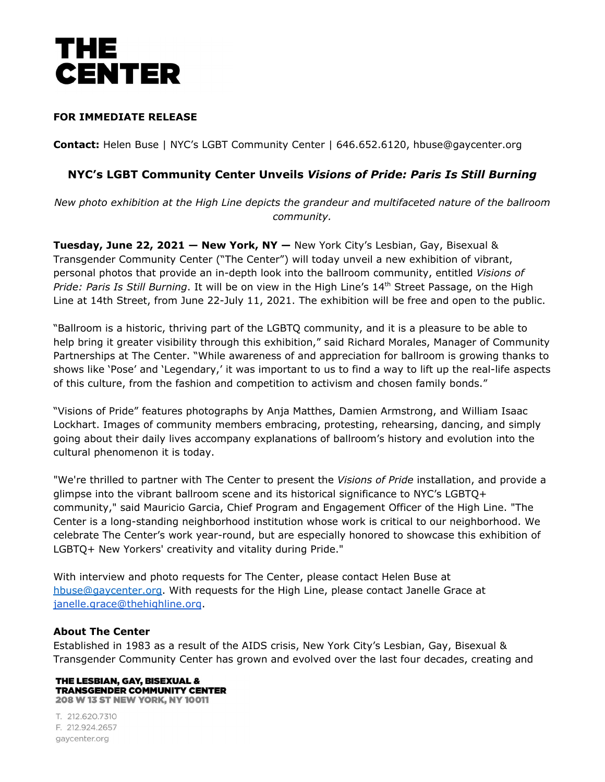# ТНЕ **CENTER**

### **FOR IMMEDIATE RELEASE**

**Contact:** Helen Buse | NYC's LGBT Community Center | 646.652.6120, hbuse@gaycenter.org

### **NYC's LGBT Community Center Unveils** *Visions of Pride: Paris Is Still Burning*

*New photo exhibition at the High Line depicts the grandeur and multifaceted nature of the ballroom community.*

**Tuesday, June 22, 2021 — New York, NY —** New York City's Lesbian, Gay, Bisexual & Transgender Community Center ("The Center") will today unveil a new exhibition of vibrant, personal photos that provide an in-depth look into the ballroom community, entitled *Visions of Pride: Paris Is Still Burning*. It will be on view in the High Line's 14 th Street Passage, on the High Line at 14th Street, from June 22-July 11, 2021. The exhibition will be free and open to the public.

"Ballroom is a historic, thriving part of the LGBTQ community, and it is a pleasure to be able to help bring it greater visibility through this exhibition," said Richard Morales, Manager of Community Partnerships at The Center. "While awareness of and appreciation for ballroom is growing thanks to shows like 'Pose' and 'Legendary,' it was important to us to find a way to lift up the real-life aspects of this culture, from the fashion and competition to activism and chosen family bonds."

"Visions of Pride" features photographs by Anja Matthes, Damien Armstrong, and William Isaac Lockhart. Images of community members embracing, protesting, rehearsing, dancing, and simply going about their daily lives accompany explanations of ballroom's history and evolution into the cultural phenomenon it is today.

"We're thrilled to partner with The Center to present the *Visions of Pride* installation, and provide a glimpse into the vibrant ballroom scene and its historical significance to NYC's LGBTQ+ community," said Mauricio Garcia, Chief Program and Engagement Officer of the High Line. "The Center is a long-standing neighborhood institution whose work is critical to our neighborhood. We celebrate The Center's work year-round, but are especially honored to showcase this exhibition of LGBTQ+ New Yorkers' creativity and vitality during Pride."

With interview and photo requests for The Center, please contact Helen Buse at [hbuse@gaycenter.org](mailto:hbuse@gaycenter.org). With requests for the High Line, please contact Janelle Grace at [janelle.grace@thehighline.org](mailto:janelle.grace@thehighline.org).

#### **About The Center**

Established in 1983 as a result of the AIDS crisis, New York City's Lesbian, Gay, Bisexual & Transgender Community Center has grown and evolved over the last four decades, creating and

#### THE LESBIAN, GAY, BISEXUAL & **TRANSGENDER COMMUNITY CENTER** 208 W 13 ST NEW YORK, NY 10011

T. 212.620.7310 F. 212.924.2657 gaycenter.org